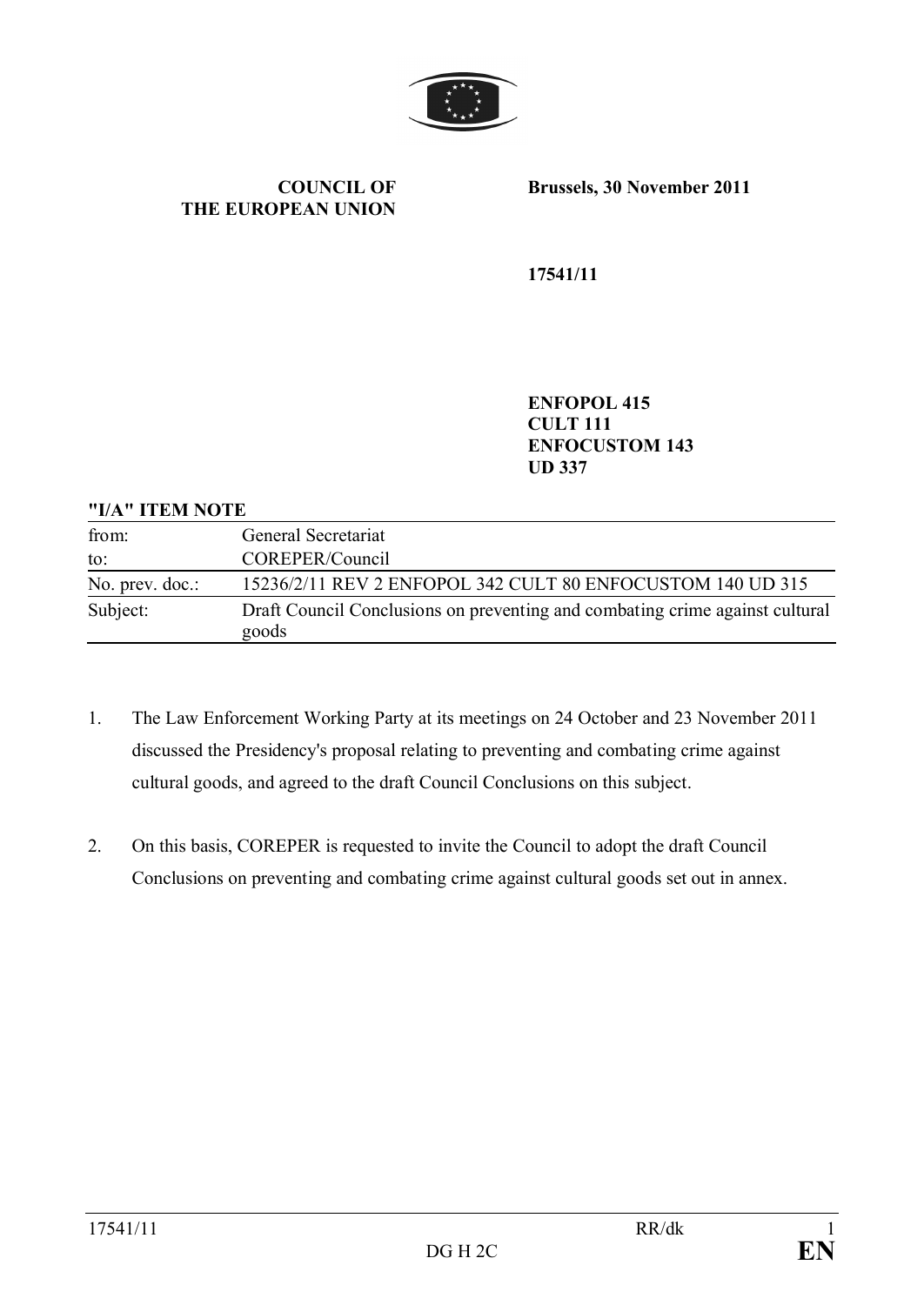

**COUNCIL OF THE EUROPEAN UNION** **Brussels, 30 November 2011**

**17541/11**

**ENFOPOL 415 CULT 111 ENFOCUSTOM 143 UD 337**

#### **"I/A" ITEM NOTE**

| from:           | General Secretariat                                                                   |
|-----------------|---------------------------------------------------------------------------------------|
| to:             | COREPER/Council                                                                       |
| No. prev. doc.: | 15236/2/11 REV 2 ENFOPOL 342 CULT 80 ENFOCUSTOM 140 UD 315                            |
| Subject:        | Draft Council Conclusions on preventing and combating crime against cultural<br>goods |

- 1. The Law Enforcement Working Party at its meetings on 24 October and 23 November 2011 discussed the Presidency's proposal relating to preventing and combating crime against cultural goods, and agreed to the draft Council Conclusions on this subject.
- 2. On this basis, COREPER is requested to invite the Council to adopt the draft Council Conclusions on preventing and combating crime against cultural goods set out in annex.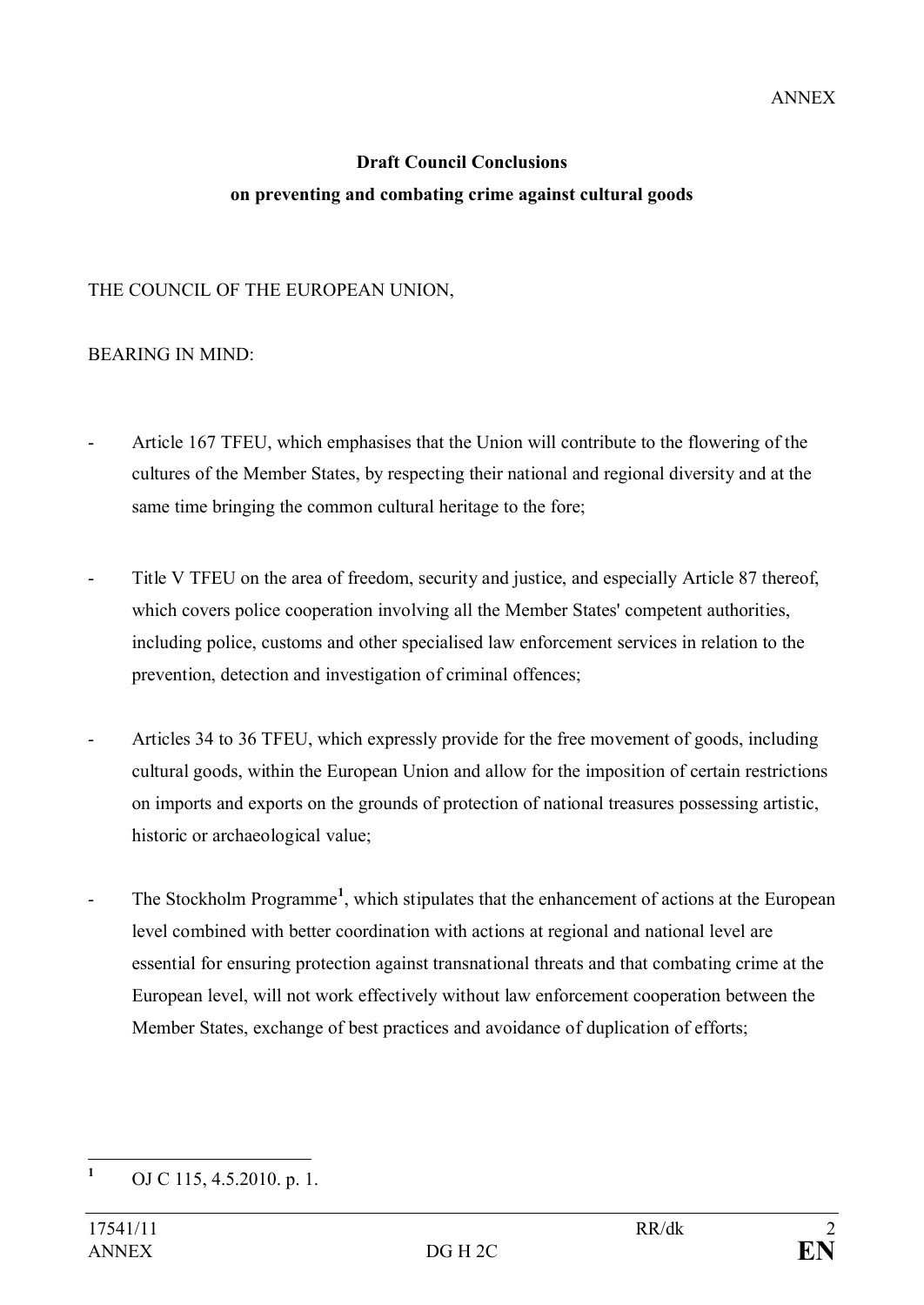# **Draft Council Conclusions on preventing and combating crime against cultural goods**

## THE COUNCIL OF THE EUROPEAN UNION,

## BEARING IN MIND:

- Article 167 TFEU, which emphasises that the Union will contribute to the flowering of the cultures of the Member States, by respecting their national and regional diversity and at the same time bringing the common cultural heritage to the fore;
- Title V TFEU on the area of freedom, security and justice, and especially Article 87 thereof, which covers police cooperation involving all the Member States' competent authorities, including police, customs and other specialised law enforcement services in relation to the prevention, detection and investigation of criminal offences;
- Articles 34 to 36 TFEU, which expressly provide for the free movement of goods, including cultural goods, within the European Union and allow for the imposition of certain restrictions on imports and exports on the grounds of protection of national treasures possessing artistic, historic or archaeological value;
- The Stockholm Programme<sup>1</sup>, which stipulates that the enhancement of actions at the European level combined with better coordination with actions at regional and national level are essential for ensuring protection against transnational threats and that combating crime at the European level, will not work effectively without law enforcement cooperation between the Member States, exchange of best practices and avoidance of duplication of efforts;

**<sup>1</sup>** OJ C 115, 4.5.2010. p. 1.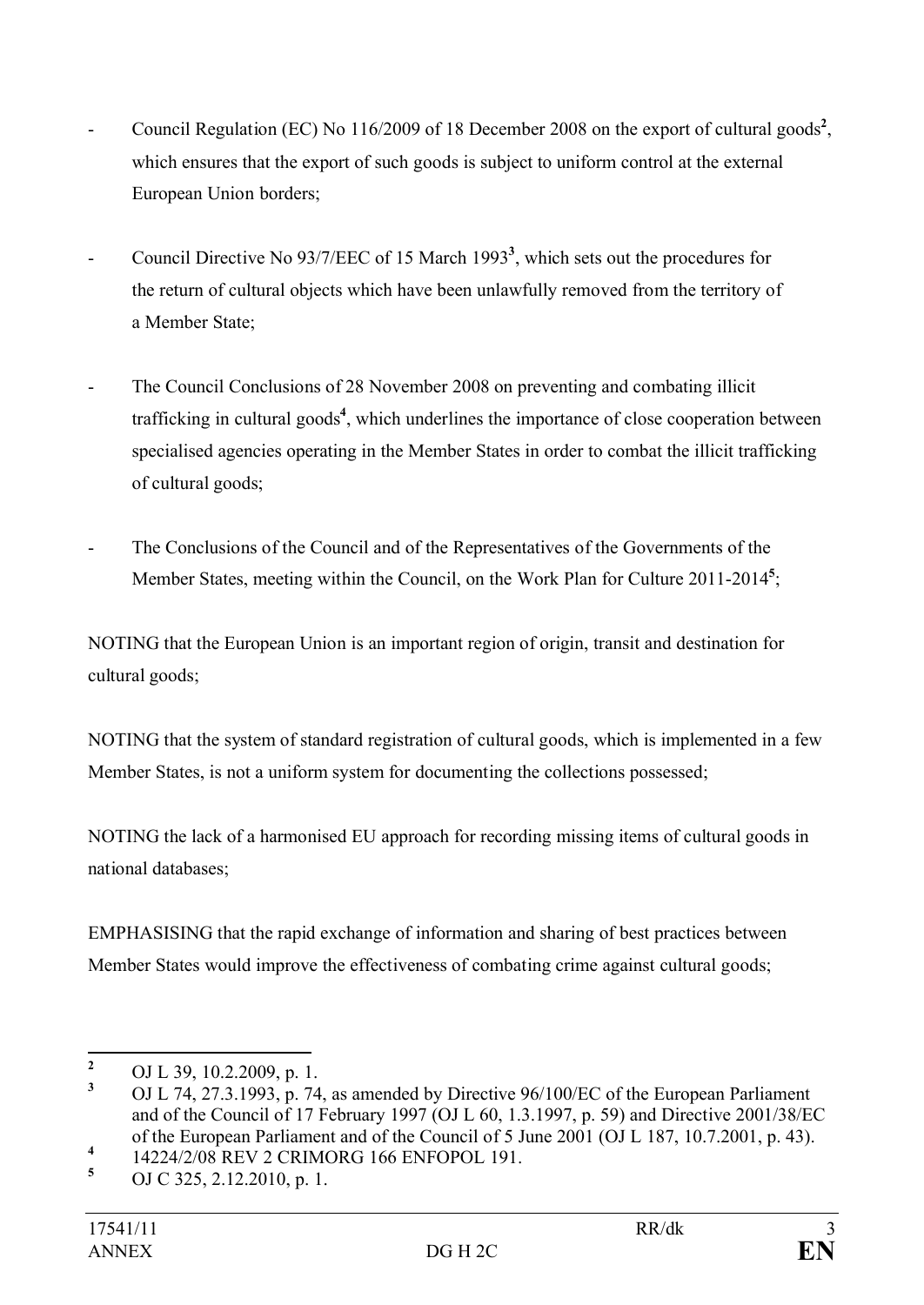- Council Regulation (EC) No 116/2009 of 18 December 2008 on the export of cultural goods<sup>2</sup>, which ensures that the export of such goods is subject to uniform control at the external European Union borders;
- Council Directive No 93/7/EEC of 15 March 1993**<sup>3</sup>** , which sets out the procedures for the return of cultural objects which have been unlawfully removed from the territory of a Member State;
- The Council Conclusions of 28 November 2008 on preventing and combating illicit trafficking in cultural goods**<sup>4</sup>** , which underlines the importance of close cooperation between specialised agencies operating in the Member States in order to combat the illicit trafficking of cultural goods;
- The Conclusions of the Council and of the Representatives of the Governments of the Member States, meeting within the Council, on the Work Plan for Culture 2011-2014**<sup>5</sup>** ;

NOTING that the European Union is an important region of origin, transit and destination for cultural goods;

NOTING that the system of standard registration of cultural goods, which is implemented in a few Member States, is not a uniform system for documenting the collections possessed;

NOTING the lack of a harmonised EU approach for recording missing items of cultural goods in national databases;

EMPHASISING that the rapid exchange of information and sharing of best practices between Member States would improve the effectiveness of combating crime against cultural goods;

<sup>&</sup>lt;sup>2</sup> OJ L 39, 10.2.2009, p. 1.<br><sup>3</sup> OJ L 74, 27, 2, 1002, p. 74

**<sup>3</sup>** OJ L 74, 27.3.1993, p. 74, as amended by Directive 96/100/EC of the European Parliament and of the Council of 17 February 1997 (OJ L 60, 1.3.1997, p. 59) and Directive 2001/38/EC of the European Parliament and of the Council of 5 June 2001 (OJ L 187, 10.7.2001, p. 43).

**<sup>4</sup>** 14224/2/08 REV 2 CRIMORG 166 ENFOPOL 191.

**<sup>5</sup>** OJ C 325, 2.12.2010, p. 1.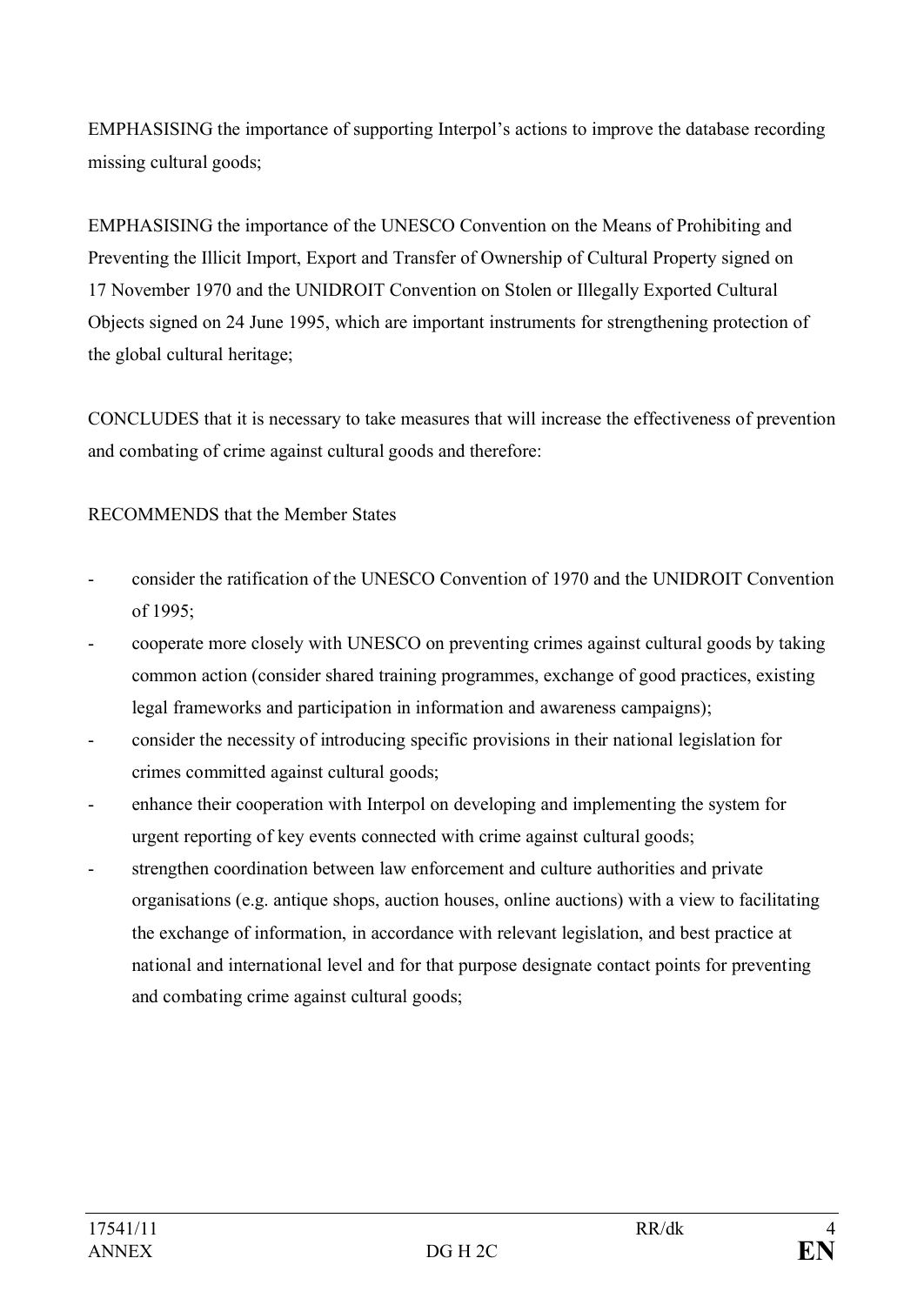EMPHASISING the importance of supporting Interpol's actions to improve the database recording missing cultural goods;

EMPHASISING the importance of the UNESCO Convention on the Means of Prohibiting and Preventing the Illicit Import, Export and Transfer of Ownership of Cultural Property signed on 17 November 1970 and the UNIDROIT Convention on Stolen or Illegally Exported Cultural Objects signed on 24 June 1995, which are important instruments for strengthening protection of the global cultural heritage;

CONCLUDES that it is necessary to take measures that will increase the effectiveness of prevention and combating of crime against cultural goods and therefore:

## RECOMMENDS that the Member States

- consider the ratification of the UNESCO Convention of 1970 and the UNIDROIT Convention of 1995;
- cooperate more closely with UNESCO on preventing crimes against cultural goods by taking common action (consider shared training programmes, exchange of good practices, existing legal frameworks and participation in information and awareness campaigns);
- consider the necessity of introducing specific provisions in their national legislation for crimes committed against cultural goods;
- enhance their cooperation with Interpol on developing and implementing the system for urgent reporting of key events connected with crime against cultural goods;
- strengthen coordination between law enforcement and culture authorities and private organisations (e.g. antique shops, auction houses, online auctions) with a view to facilitating the exchange of information, in accordance with relevant legislation, and best practice at national and international level and for that purpose designate contact points for preventing and combating crime against cultural goods;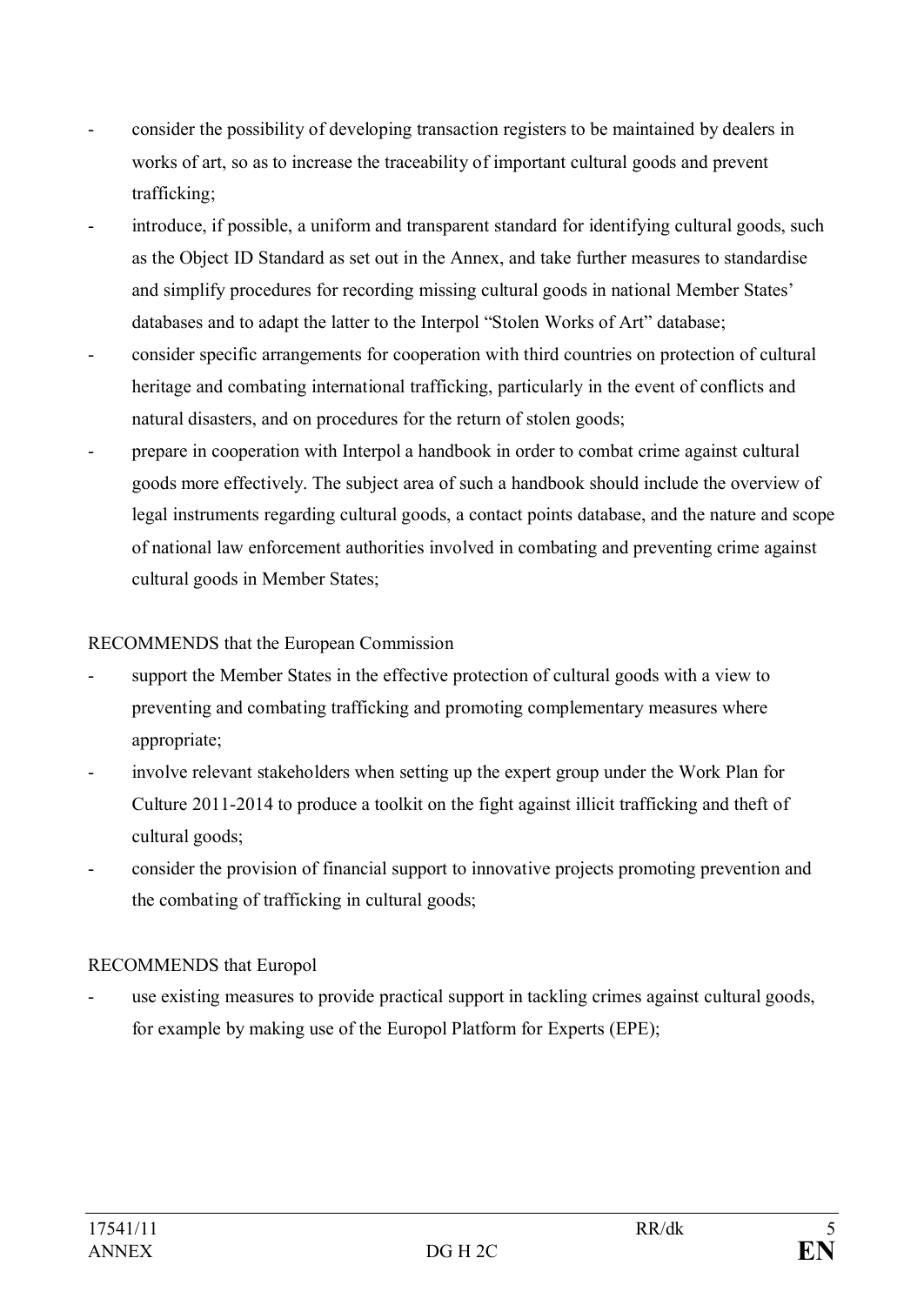- consider the possibility of developing transaction registers to be maintained by dealers in works of art, so as to increase the traceability of important cultural goods and prevent trafficking;
- introduce, if possible, a uniform and transparent standard for identifying cultural goods, such as the Object ID Standard as set out in the Annex, and take further measures to standardise and simplify procedures for recording missing cultural goods in national Member States' databases and to adapt the latter to the Interpol "Stolen Works of Art" database;
- consider specific arrangements for cooperation with third countries on protection of cultural heritage and combating international trafficking, particularly in the event of conflicts and natural disasters, and on procedures for the return of stolen goods;
- prepare in cooperation with Interpol a handbook in order to combat crime against cultural goods more effectively. The subject area of such a handbook should include the overview of legal instruments regarding cultural goods, a contact points database, and the nature and scope of national law enforcement authorities involved in combating and preventing crime against cultural goods in Member States;

## RECOMMENDS that the European Commission

- support the Member States in the effective protection of cultural goods with a view to preventing and combating trafficking and promoting complementary measures where appropriate;
- involve relevant stakeholders when setting up the expert group under the Work Plan for Culture 2011-2014 to produce a toolkit on the fight against illicit trafficking and theft of cultural goods;
- consider the provision of financial support to innovative projects promoting prevention and the combating of trafficking in cultural goods;

## RECOMMENDS that Europol

use existing measures to provide practical support in tackling crimes against cultural goods, for example by making use of the Europol Platform for Experts (EPE);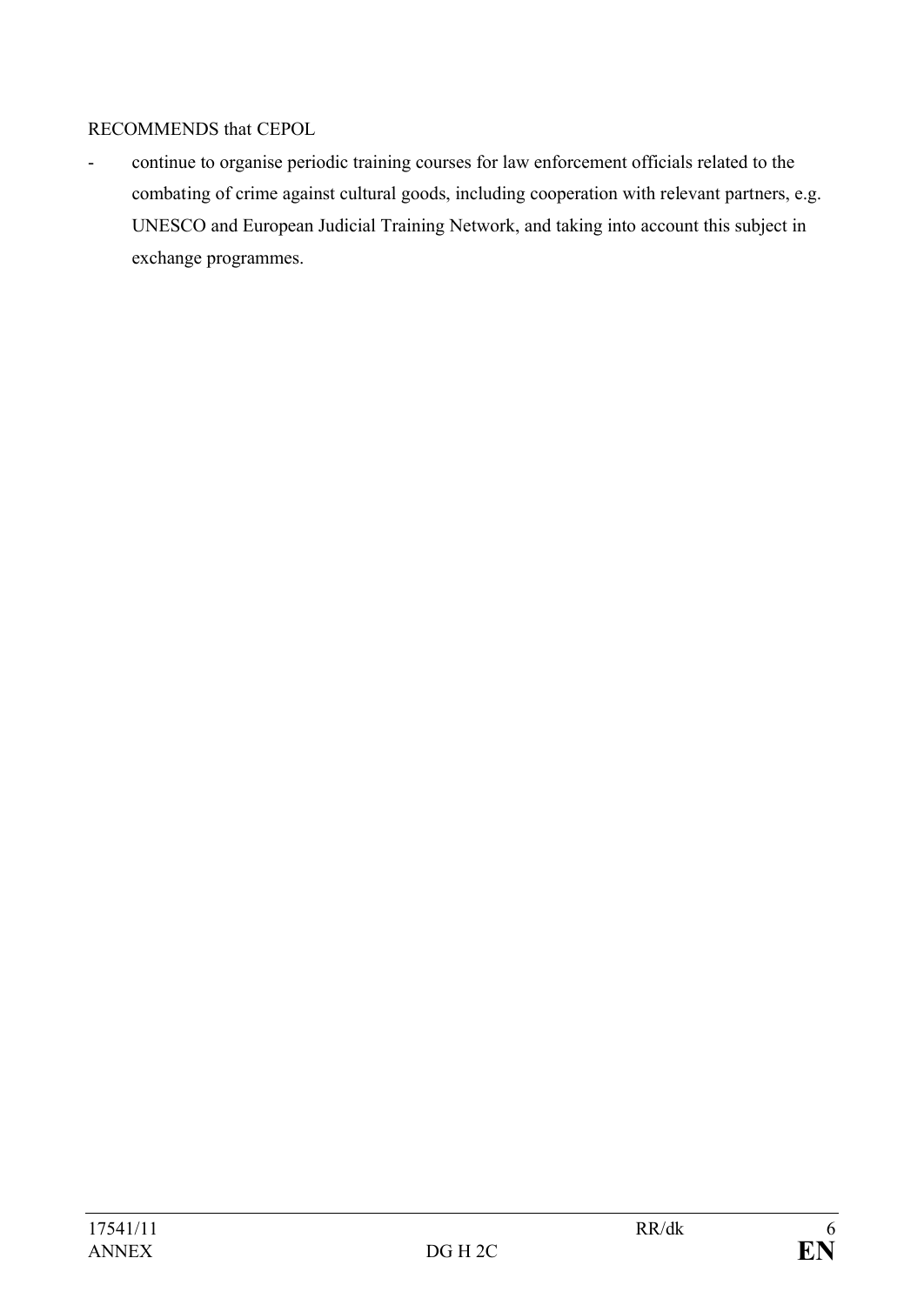## RECOMMENDS that CEPOL

- continue to organise periodic training courses for law enforcement officials related to the combating of crime against cultural goods, including cooperation with relevant partners, e.g. UNESCO and European Judicial Training Network, and taking into account this subject in exchange programmes.